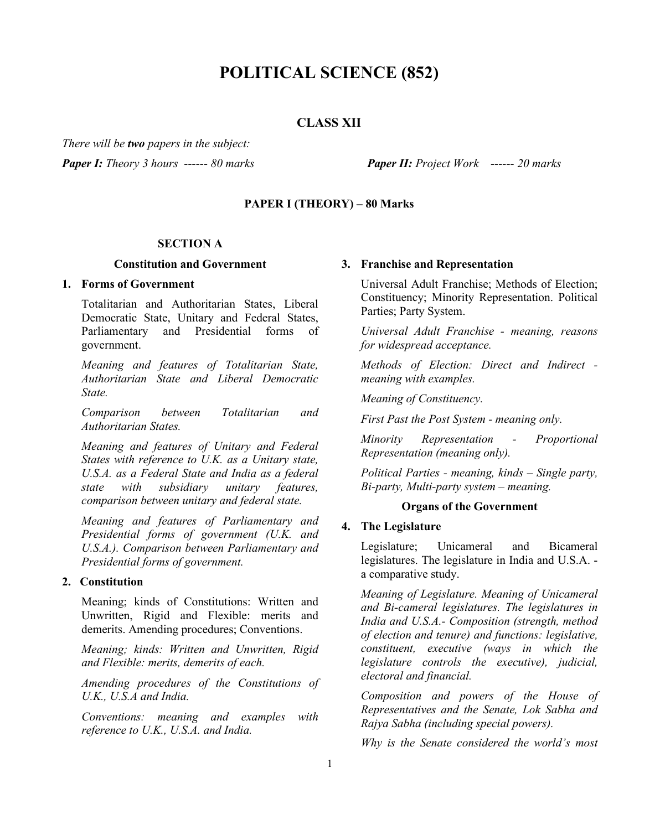# **POLITICAL SCIENCE (852)**

# **CLASS XII**

*There will be two papers in the subject: Paper I: Theory 3 hours ------ 80 marks Paper II: Project Work ------ 20 marks*

# **PAPER I (THEORY) – 80 Marks**

#### **SECTION A**

#### **Constitution and Government**

#### **1. Forms of Government**

Totalitarian and Authoritarian States, Liberal Democratic State, Unitary and Federal States, Parliamentary and Presidential forms of government.

*Meaning and features of Totalitarian State, Authoritarian State and Liberal Democratic State.*

*Comparison between Totalitarian and Authoritarian States.* 

*Meaning and features of Unitary and Federal States with reference to U.K. as a Unitary state, U.S.A. as a Federal State and India as a federal state with subsidiary unitary features, comparison between unitary and federal state.*

*Meaning and features of Parliamentary and Presidential forms of government (U.K. and U.S.A.). Comparison between Parliamentary and Presidential forms of government.*

### **2. Constitution**

Meaning; kinds of Constitutions: Written and Unwritten, Rigid and Flexible: merits and demerits. Amending procedures; Conventions.

*Meaning; kinds: Written and Unwritten, Rigid and Flexible: merits, demerits of each.* 

*Amending procedures of the Constitutions of U.K., U.S.A and India.*

*Conventions: meaning and examples with reference to U.K., U.S.A. and India.*

#### **3. Franchise and Representation**

Universal Adult Franchise; Methods of Election; Constituency; Minority Representation. Political Parties; Party System.

*Universal Adult Franchise - meaning, reasons for widespread acceptance.* 

*Methods of Election: Direct and Indirect meaning with examples.* 

*Meaning of Constituency.*

*First Past the Post System - meaning only.*

*Minority Representation - Proportional Representation (meaning only).*

*Political Parties - meaning, kinds – Single party, Bi-party, Multi-party system – meaning.*

#### **Organs of the Government**

### **4. The Legislature**

Legislature; Unicameral and Bicameral legislatures. The legislature in India and U.S.A. a comparative study.

*Meaning of Legislature. Meaning of Unicameral and Bi-cameral legislatures. The legislatures in India and U.S.A.- Composition (strength, method of election and tenure) and functions: legislative, constituent, executive (ways in which the legislature controls the executive), judicial, electoral and financial.*

*Composition and powers of the House of Representatives and the Senate, Lok Sabha and Rajya Sabha (including special powers).*

*Why is the Senate considered the world's most*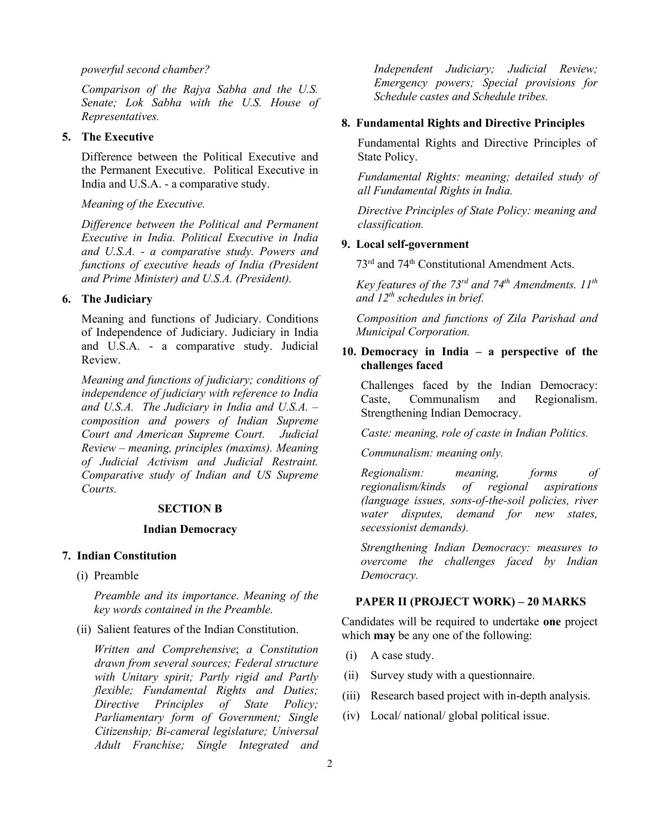#### *powerful second chamber?*

*Comparison of the Rajya Sabha and the U.S. Senate; Lok Sabha with the U.S. House of Representatives.*

# **5. The Executive**

Difference between the Political Executive and the Permanent Executive. Political Executive in India and U.S.A. - a comparative study.

### *Meaning of the Executive.*

*Difference between the Political and Permanent Executive in India. Political Executive in India and U.S.A. - a comparative study. Powers and functions of executive heads of India (President and Prime Minister) and U.S.A. (President).*

# **6. The Judiciary**

Meaning and functions of Judiciary. Conditions of Independence of Judiciary. Judiciary in India and U.S.A. - a comparative study. Judicial Review.

*Meaning and functions of judiciary; conditions of independence of judiciary with reference to India and U.S.A. The Judiciary in India and U.S.A. – composition and powers of Indian Supreme Court and American Supreme Court. Judicial Review – meaning, principles (maxims). Meaning of Judicial Activism and Judicial Restraint. Comparative study of Indian and US Supreme Courts.*

# **SECTION B**

#### **Indian Democracy**

### **7. Indian Constitution**

(i) Preamble

*Preamble and its importance. Meaning of the key words contained in the Preamble.*

(ii) Salient features of the Indian Constitution.

*Written and Comprehensive*; *a Constitution drawn from several sources; Federal structure with Unitary spirit; Partly rigid and Partly flexible; Fundamental Rights and Duties; Directive Principles of State Policy; Parliamentary form of Government; Single Citizenship; Bi-cameral legislature; Universal Adult Franchise; Single Integrated and*  *Independent Judiciary; Judicial Review; Emergency powers; Special provisions for Schedule castes and Schedule tribes.* 

#### **8. Fundamental Rights and Directive Principles**

Fundamental Rights and Directive Principles of State Policy.

*Fundamental Rights: meaning; detailed study of all Fundamental Rights in India.*

*Directive Principles of State Policy: meaning and classification.*

### **9. Local self-government**

73rd and 74th Constitutional Amendment Acts.

 *Key features of the 73rd and 74th Amendments. 11th and 12th schedules in brief.*

 *Composition and functions of Zila Parishad and Municipal Corporation.*

# **10. Democracy in India – a perspective of the challenges faced**

Challenges faced by the Indian Democracy:<br>Caste. Communalism and Regionalism. Caste, Communalism and Regionalism. Strengthening Indian Democracy.

*Caste: meaning, role of caste in Indian Politics.*

*Communalism: meaning only.*

*Regionalism: meaning, forms of regionalism/kinds of regional aspirations (language issues, sons-of-the-soil policies, river demand for new states, secessionist demands).*

*Strengthening Indian Democracy: measures to overcome the challenges faced by Indian Democracy.*

#### **PAPER II (PROJECT WORK) – 20 MARKS**

Candidates will be required to undertake **one** project which **may** be any one of the following:

- (i) A case study.
- (ii) Survey study with a questionnaire.
- (iii) Research based project with in-depth analysis.
- (iv) Local/ national/ global political issue.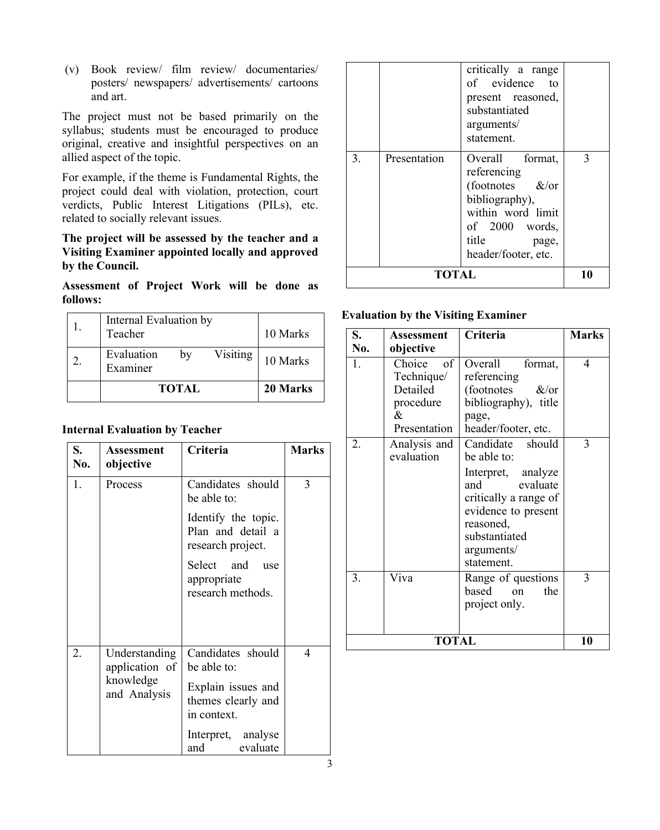(v) Book review/ film review/ documentaries/ posters/ newspapers/ advertisements/ cartoons and art.

The project must not be based primarily on the syllabus; students must be encouraged to produce original, creative and insightful perspectives on an allied aspect of the topic.

For example, if the theme is Fundamental Rights, the project could deal with violation, protection, court verdicts, Public Interest Litigations (PILs), etc. related to socially relevant issues.

# **The project will be assessed by the teacher and a Visiting Examiner appointed locally and approved by the Council.**

**Assessment of Project Work will be done as follows:**

| Internal Evaluation by<br>Teacher        | 10 Marks |
|------------------------------------------|----------|
| Visiting<br>Evaluation<br>bv<br>Examiner | 10 Marks |
| <b>TOTAL</b>                             | 20 Marks |

# **Internal Evaluation by Teacher**

| S.<br>No. | Assessment<br>objective                                      | Criteria                                                                                    | <b>Marks</b> |
|-----------|--------------------------------------------------------------|---------------------------------------------------------------------------------------------|--------------|
| 1.        | Process                                                      | Candidates should<br>be able to:                                                            | 3            |
|           |                                                              | Identify the topic.<br>Plan and detail a<br>research project.                               |              |
|           |                                                              | Select and<br>use<br>appropriate<br>research methods.                                       |              |
| 2.        | Understanding<br>application of<br>knowledge<br>and Analysis | Candidates should<br>be able to:<br>Explain issues and<br>themes clearly and<br>in context. | 4            |
|           |                                                              | Interpret, analyse<br>and<br>evaluate                                                       |              |

|              |              | critically a range<br>of evidence to<br>present reasoned,<br>substantiated<br>arguments/<br>statement.                                                     |    |
|--------------|--------------|------------------------------------------------------------------------------------------------------------------------------------------------------------|----|
| 3.           | Presentation | Overall format,<br>referencing<br>(footnotes $\&\/$ or<br>bibliography),<br>within word limit<br>of $2000$ words,<br>title<br>page,<br>header/footer, etc. | 3  |
| <b>TOTAL</b> |              |                                                                                                                                                            | 10 |

# **Evaluation by the Visiting Examiner**

| S.<br>No.    | Assessment<br>objective                                                           | Criteria                                                                                                                                                                              | <b>Marks</b> |
|--------------|-----------------------------------------------------------------------------------|---------------------------------------------------------------------------------------------------------------------------------------------------------------------------------------|--------------|
| 1.           | $\sigma$ f<br>Choice<br>Technique/<br>Detailed<br>procedure<br>&.<br>Presentation | Overall<br>format,<br>referencing<br>(footnotes)<br>$\&$ /or<br>bibliography), title<br>page,<br>header/footer, etc.                                                                  | 4            |
| 2.           | Analysis and<br>evaluation                                                        | Candidate<br>should<br>be able to:<br>Interpret, analyze<br>evaluate<br>and<br>critically a range of<br>evidence to present<br>reasoned,<br>substantiated<br>arguments/<br>statement. | 3            |
| 3.           | Viva                                                                              | Range of questions<br>based<br>the<br>$\alpha$<br>project only.                                                                                                                       | 3            |
| <b>TOTAL</b> |                                                                                   |                                                                                                                                                                                       | 10           |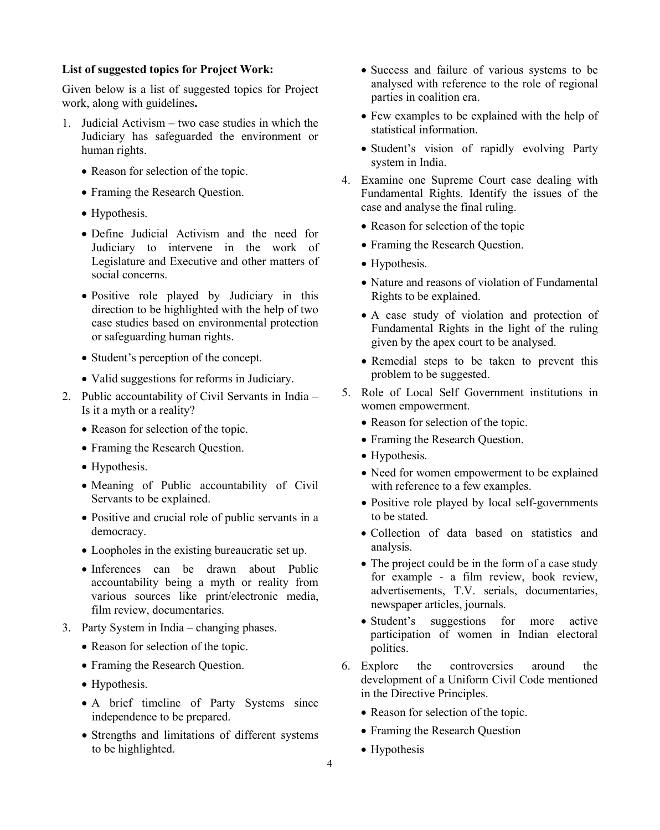### **List of suggested topics for Project Work:**

Given below is a list of suggested topics for Project work, along with guidelines**.**

- 1. Judicial Activism two case studies in which the Judiciary has safeguarded the environment or human rights.
	- Reason for selection of the topic.
	- Framing the Research Question.
	- Hypothesis.
	- Define Judicial Activism and the need for Judiciary to intervene in the work of Legislature and Executive and other matters of social concerns.
	- Positive role played by Judiciary in this direction to be highlighted with the help of two case studies based on environmental protection or safeguarding human rights.
	- Student's perception of the concept.
	- Valid suggestions for reforms in Judiciary.
- 2. Public accountability of Civil Servants in India Is it a myth or a reality?
	- Reason for selection of the topic.
	- Framing the Research Question.
	- Hypothesis.
	- Meaning of Public accountability of Civil Servants to be explained.
	- Positive and crucial role of public servants in a democracy.
	- Loopholes in the existing bureaucratic set up.
	- Inferences can be drawn about Public accountability being a myth or reality from various sources like print/electronic media, film review, documentaries.
- 3. Party System in India changing phases.
	- Reason for selection of the topic.
	- Framing the Research Question.
	- Hypothesis.
	- A brief timeline of Party Systems since independence to be prepared.
	- Strengths and limitations of different systems to be highlighted.
- Success and failure of various systems to be analysed with reference to the role of regional parties in coalition era.
- Few examples to be explained with the help of statistical information.
- Student's vision of rapidly evolving Party system in India.
- 4. Examine one Supreme Court case dealing with Fundamental Rights. Identify the issues of the case and analyse the final ruling.
	- Reason for selection of the topic
	- Framing the Research Question.
	- Hypothesis.
	- Nature and reasons of violation of Fundamental Rights to be explained.
	- A case study of violation and protection of Fundamental Rights in the light of the ruling given by the apex court to be analysed.
	- Remedial steps to be taken to prevent this problem to be suggested.
- 5. Role of Local Self Government institutions in women empowerment.
	- Reason for selection of the topic.
	- Framing the Research Question.
	- Hypothesis.
	- Need for women empowerment to be explained with reference to a few examples.
	- Positive role played by local self-governments to be stated.
	- Collection of data based on statistics and analysis.
	- The project could be in the form of a case study for example - a film review, book review, advertisements, T.V. serials, documentaries, newspaper articles, journals.
	- Student's suggestions for more active participation of women in Indian electoral politics.
- 6. Explore the controversies around the development of a Uniform Civil Code mentioned in the Directive Principles.
	- Reason for selection of the topic.
	- Framing the Research Question
	- Hypothesis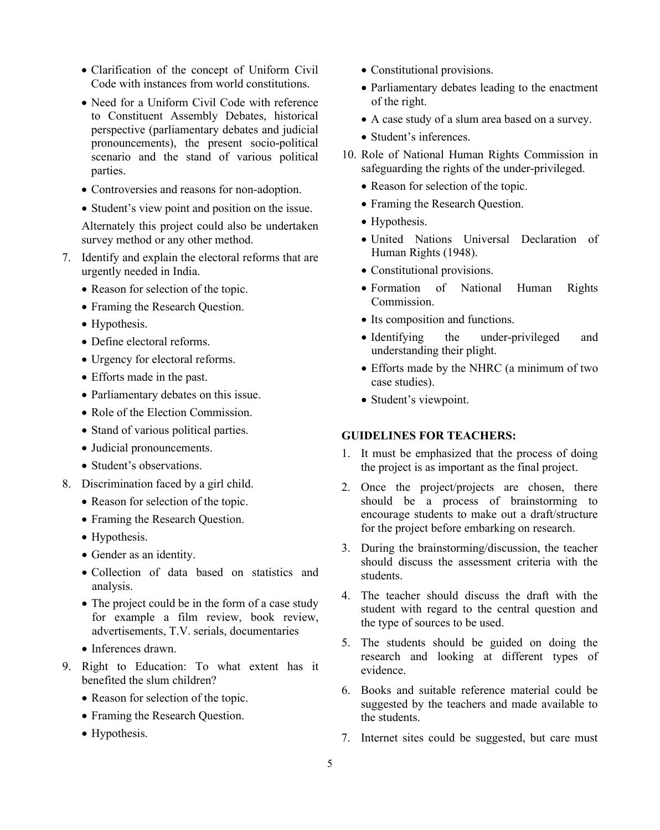- Clarification of the concept of Uniform Civil Code with instances from world constitutions.
- Need for a Uniform Civil Code with reference to Constituent Assembly Debates, historical perspective (parliamentary debates and judicial pronouncements), the present socio-political scenario and the stand of various political parties.
- Controversies and reasons for non-adoption.
- Student's view point and position on the issue.

Alternately this project could also be undertaken survey method or any other method.

- 7. Identify and explain the electoral reforms that are urgently needed in India.
	- Reason for selection of the topic.
	- Framing the Research Question.
	- Hypothesis.
	- Define electoral reforms.
	- Urgency for electoral reforms.
	- Efforts made in the past.
	- Parliamentary debates on this issue.
	- Role of the Election Commission.
	- Stand of various political parties.
	- Judicial pronouncements.
	- Student's observations.
- 8. Discrimination faced by a girl child.
	- Reason for selection of the topic.
	- Framing the Research Question.
	- Hypothesis.
	- Gender as an identity.
	- Collection of data based on statistics and analysis.
	- The project could be in the form of a case study for example a film review, book review, advertisements, T.V. serials, documentaries
	- Inferences drawn.
- 9. Right to Education: To what extent has it benefited the slum children?
	- Reason for selection of the topic.
	- Framing the Research Question.
	- Hypothesis.
- Constitutional provisions.
- Parliamentary debates leading to the enactment of the right.
- A case study of a slum area based on a survey.
- Student's inferences.
- 10. Role of National Human Rights Commission in safeguarding the rights of the under-privileged.
	- Reason for selection of the topic.
	- Framing the Research Question.
	- Hypothesis.
	- United Nations Universal Declaration of Human Rights (1948).
	- Constitutional provisions.
	- Formation of National Human Rights Commission.
	- Its composition and functions.
	- Identifying the under-privileged and understanding their plight.
	- Efforts made by the NHRC (a minimum of two case studies).
	- Student's viewpoint.

# **GUIDELINES FOR TEACHERS:**

- 1. It must be emphasized that the process of doing the project is as important as the final project.
- 2. Once the project/projects are chosen, there should be a process of brainstorming to encourage students to make out a draft/structure for the project before embarking on research.
- 3. During the brainstorming/discussion, the teacher should discuss the assessment criteria with the students.
- 4. The teacher should discuss the draft with the student with regard to the central question and the type of sources to be used.
- 5. The students should be guided on doing the research and looking at different types of evidence.
- 6. Books and suitable reference material could be suggested by the teachers and made available to the students.
- 7. Internet sites could be suggested, but care must